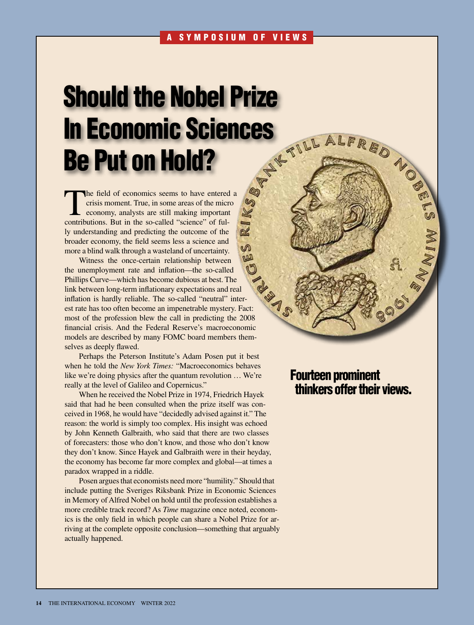# Should the Nobel Prize<br>
In Economic Sciences<br>
Be Put on Hold?<br>
The field of economic seems to have entered a<br>
The field of economic seems to have entered a<br>
Somethering and producting the overcall material service of the<br> In Economic Sciences Be Put on Hold?

The field of economics seems to have entered a<br>
crisis moment. True, in some areas of the micro<br>
economy, analysts are still making important<br>
contributions. But in the so called "science" of ful crisis moment. True, in some areas of the micro contributions. But in the so-called "science" of fully understanding and predicting the outcome of the broader economy, the field seems less a science and more a blind walk through a wasteland of uncertainty.

Witness the once-certain relationship between the unemployment rate and inflation—the so-called Phillips Curve—which has become dubious at best. The link between long-term inflationary expectations and real inflation is hardly reliable. The so-called "neutral" inter-Phillips Curve-<br>
link between long-term inflationary  $\epsilon_{\text{A}}$ .<br>
inflation is hardly reliable. The so-called "neutral" inter-<br>
est rate has too often become an impenetrable mystery. Fact: most of the profession blew the call in predicting the 2008 financial crisis. And the Federal Reserve's macroeconomic models are described by many FOMC board members themselves as deeply flawed.

Perhaps the Peterson Institute's Adam Posen put it best when he told the *New York Times:* "Macroeconomics behaves like we're doing physics after the quantum revolution … We're really at the level of Galileo and Copernicus."

When he received the Nobel Prize in 1974, Friedrich Hayek said that had he been consulted when the prize itself was conceived in 1968, he would have "decidedly advised against it." The reason: the world is simply too complex. His insight was echoed by John Kenneth Galbraith, who said that there are two classes of forecasters: those who don't know, and those who don't know they don't know. Since Hayek and Galbraith were in their heyday, the economy has become far more complex and global—at times a paradox wrapped in a riddle.

Posen argues that economists need more "humility." Should that include putting the Sveriges Riksbank Prize in Economic Sciences in Memory of Alfred Nobel on hold until the profession establishes a more credible track record? As *Time* magazine once noted, economics is the only field in which people can share a Nobel Prize for arriving at the complete opposite conclusion—something that arguably actually happened.

# Fourteen prominent thinkers offer their views.

**1996**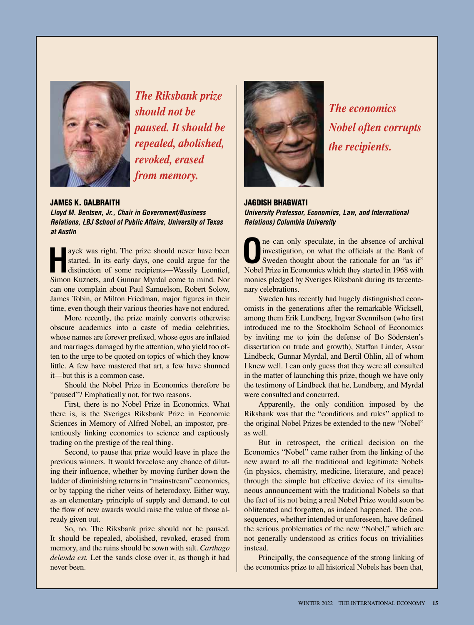

*The Riksbank prize should not be paused. It should be repealed, abolished, revoked, erased from memory.*

### JAMES K. GALBRAITH

*Lloyd M. Bentsen, Jr., Chair in Government/Business Relations, LBJ School of Public Affairs, University of Texas at Austin*

**Hayek** was right. The prize should never have been started. In its early days, one could argue for the distinction of some recipients—Wassily Leontief, Simon Kuznets, and Gunnar Myrdal come to mind. Nor can one complain about Paul Samuelson, Robert Solow, James Tobin, or Milton Friedman, major figures in their time, even though their various theories have not endured.

More recently, the prize mainly converts otherwise obscure academics into a caste of media celebrities, whose names are forever prefixed, whose egos are inflated and marriages damaged by the attention, who yield too often to the urge to be quoted on topics of which they know little. A few have mastered that art, a few have shunned it—but this is a common case.

Should the Nobel Prize in Economics therefore be "paused"? Emphatically not, for two reasons.

First, there is no Nobel Prize in Economics. What there is, is the Sveriges Riksbank Prize in Economic Sciences in Memory of Alfred Nobel, an impostor, pretentiously linking economics to science and captiously trading on the prestige of the real thing.

Second, to pause that prize would leave in place the previous winners. It would foreclose any chance of diluting their influence, whether by moving further down the ladder of diminishing returns in "mainstream" economics, or by tapping the richer veins of heterodoxy. Either way, as an elementary principle of supply and demand, to cut the flow of new awards would raise the value of those already given out.

So, no. The Riksbank prize should not be paused. It should be repealed, abolished, revoked, erased from memory, and the ruins should be sown with salt. *Carthago delenda est.* Let the sands close over it, as though it had never been.



*The economics Nobel often corrupts the recipients.*

# JAGDISH BHAGWATI *University Professor, Economics, Law, and International Relations) Columbia University*

**O**ne can only speculate, in the absence of archival<br>
investigation, on what the officials at the Bank of<br>
Sweden thought about the rationale for an "as if"<br>
Nebel Prize in Foremias which they started in 1068 with investigation, on what the officials at the Bank of Nobel Prize in Economics which they started in 1968 with monies pledged by Sveriges Riksbank during its tercentenary celebrations.

Sweden has recently had hugely distinguished economists in the generations after the remarkable Wicksell, among them Erik Lundberg, Ingvar Svennilson (who first introduced me to the Stockholm School of Economics by inviting me to join the defense of Bo Södersten's dissertation on trade and growth), Staffan Linder, Assar Lindbeck, Gunnar Myrdal, and Bertil Ohlin, all of whom I knew well. I can only guess that they were all consulted in the matter of launching this prize, though we have only the testimony of Lindbeck that he, Lundberg, and Myrdal were consulted and concurred.

Apparently, the only condition imposed by the Riksbank was that the "conditions and rules" applied to the original Nobel Prizes be extended to the new "Nobel" as well.

But in retrospect, the critical decision on the Economics "Nobel" came rather from the linking of the new award to all the traditional and legitimate Nobels (in physics, chemistry, medicine, literature, and peace) through the simple but effective device of its simultaneous announcement with the traditional Nobels so that the fact of its not being a real Nobel Prize would soon be obliterated and forgotten, as indeed happened. The consequences, whether intended or unforeseen, have defined the serious problematics of the new "Nobel," which are not generally understood as critics focus on trivialities instead.

Principally, the consequence of the strong linking of the economics prize to all historical Nobels has been that,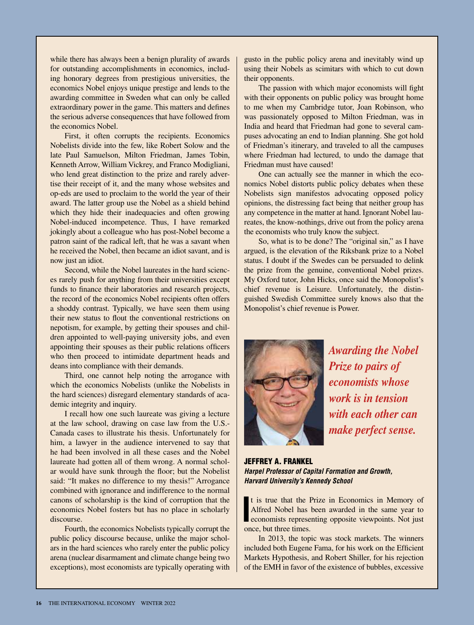while there has always been a benign plurality of awards for outstanding accomplishments in economics, including honorary degrees from prestigious universities, the economics Nobel enjoys unique prestige and lends to the awarding committee in Sweden what can only be called extraordinary power in the game. This matters and defines the serious adverse consequences that have followed from the economics Nobel.

First, it often corrupts the recipients. Economics Nobelists divide into the few, like Robert Solow and the late Paul Samuelson, Milton Friedman, James Tobin, Kenneth Arrow, William Vickrey, and Franco Modigliani, who lend great distinction to the prize and rarely advertise their receipt of it, and the many whose websites and op-eds are used to proclaim to the world the year of their award. The latter group use the Nobel as a shield behind which they hide their inadequacies and often growing Nobel-induced incompetence. Thus, I have remarked jokingly about a colleague who has post-Nobel become a patron saint of the radical left, that he was a savant when he received the Nobel, then became an idiot savant, and is now just an idiot.

Second, while the Nobel laureates in the hard sciences rarely push for anything from their universities except funds to finance their laboratories and research projects, the record of the economics Nobel recipients often offers a shoddy contrast. Typically, we have seen them using their new status to flout the conventional restrictions on nepotism, for example, by getting their spouses and children appointed to well-paying university jobs, and even appointing their spouses as their public relations officers who then proceed to intimidate department heads and deans into compliance with their demands.

Third, one cannot help noting the arrogance with which the economics Nobelists (unlike the Nobelists in the hard sciences) disregard elementary standards of academic integrity and inquiry.

I recall how one such laureate was giving a lecture at the law school, drawing on case law from the U.S.- Canada cases to illustrate his thesis. Unfortunately for him, a lawyer in the audience intervened to say that he had been involved in all these cases and the Nobel laureate had gotten all of them wrong. A normal scholar would have sunk through the floor; but the Nobelist said: "It makes no difference to my thesis!" Arrogance combined with ignorance and indifference to the normal canons of scholarship is the kind of corruption that the economics Nobel fosters but has no place in scholarly discourse.

Fourth, the economics Nobelists typically corrupt the public policy discourse because, unlike the major scholars in the hard sciences who rarely enter the public policy arena (nuclear disarmament and climate change being two exceptions), most economists are typically operating with gusto in the public policy arena and inevitably wind up using their Nobels as scimitars with which to cut down their opponents.

The passion with which major economists will fight with their opponents on public policy was brought home to me when my Cambridge tutor, Joan Robinson, who was passionately opposed to Milton Friedman, was in India and heard that Friedman had gone to several campuses advocating an end to Indian planning. She got hold of Friedman's itinerary, and traveled to all the campuses where Friedman had lectured, to undo the damage that Friedman must have caused!

One can actually see the manner in which the economics Nobel distorts public policy debates when these Nobelists sign manifestos advocating opposed policy opinions, the distressing fact being that neither group has any competence in the matter at hand. Ignorant Nobel laureates, the know-nothings, drive out from the policy arena the economists who truly know the subject.

So, what is to be done? The "original sin," as I have argued, is the elevation of the Riksbank prize to a Nobel status. I doubt if the Swedes can be persuaded to delink the prize from the genuine, conventional Nobel prizes. My Oxford tutor, John Hicks, once said the Monopolist's chief revenue is Leisure. Unfortunately, the distinguished Swedish Committee surely knows also that the Monopolist's chief revenue is Power.



*Awarding the Nobel Prize to pairs of economists whose work is in tension with each other can make perfect sense.*

JEFFREY A. FRANKEL *Harpel Professor of Capital Formation and Growth, Harvard University's Kennedy School*

It is true that the Prize in Economics in Memory of Alfred Nobel has been awarded in the same year to economists representing opposite viewpoints. Not just t is true that the Prize in Economics in Memory of Alfred Nobel has been awarded in the same year to once, but three times.

In 2013, the topic was stock markets. The winners included both Eugene Fama, for his work on the Efficient Markets Hypothesis, and Robert Shiller, for his rejection of the EMH in favor of the existence of bubbles, excessive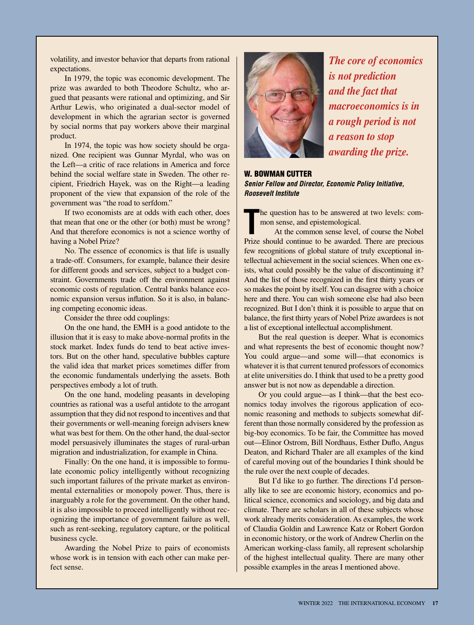volatility, and investor behavior that departs from rational expectations.

In 1979, the topic was economic development. The prize was awarded to both Theodore Schultz, who argued that peasants were rational and optimizing, and Sir Arthur Lewis, who originated a dual-sector model of development in which the agrarian sector is governed by social norms that pay workers above their marginal product.

In 1974, the topic was how society should be organized. One recipient was Gunnar Myrdal, who was on the Left—a critic of race relations in America and force behind the social welfare state in Sweden. The other recipient, Friedrich Hayek, was on the Right—a leading proponent of the view that expansion of the role of the government was "the road to serfdom."

If two economists are at odds with each other, does that mean that one or the other (or both) must be wrong? And that therefore economics is not a science worthy of having a Nobel Prize?

No. The essence of economics is that life is usually a trade-off. Consumers, for example, balance their desire for different goods and services, subject to a budget constraint. Governments trade off the environment against economic costs of regulation. Central banks balance economic expansion versus inflation. So it is also, in balancing competing economic ideas.

Consider the three odd couplings:

On the one hand, the EMH is a good antidote to the illusion that it is easy to make above-normal profits in the stock market. Index funds do tend to beat active investors. But on the other hand, speculative bubbles capture the valid idea that market prices sometimes differ from the economic fundamentals underlying the assets. Both perspectives embody a lot of truth.

On the one hand, modeling peasants in developing countries as rational was a useful antidote to the arrogant assumption that they did not respond to incentives and that their governments or well-meaning foreign advisers knew what was best for them. On the other hand, the dual-sector model persuasively illuminates the stages of rural-urban migration and industrialization, for example in China.

Finally: On the one hand, it is impossible to formulate economic policy intelligently without recognizing such important failures of the private market as environmental externalities or monopoly power. Thus, there is inarguably a role for the government. On the other hand, it is also impossible to proceed intelligently without recognizing the importance of government failure as well, such as rent-seeking, regulatory capture, or the political business cycle.

Awarding the Nobel Prize to pairs of economists whose work is in tension with each other can make perfect sense.



*The core of economics is not prediction and the fact that macroeconomics is in a rough period is not a reason to stop awarding the prize.*

# W. BOWMAN CUTTER *Senior Fellow and Director, Economic Policy Initiative, Roosevelt Institute*

he question has to be answered at two levels: common sense, and epistemological.

The question has to be answered at two levels: com-<br>
mon sense, and epistemological.<br>
At the common sense level, of course the Nobel<br>
Prize should continue to be awarded. There are precious At the common sense level, of course the Nobel few recognitions of global stature of truly exceptional intellectual achievement in the social sciences. When one exists, what could possibly be the value of discontinuing it? And the list of those recognized in the first thirty years or so makes the point by itself. You can disagree with a choice here and there. You can wish someone else had also been recognized. But I don't think it is possible to argue that on balance, the first thirty years of Nobel Prize awardees is not a list of exceptional intellectual accomplishment.

But the real question is deeper. What is economics and what represents the best of economic thought now? You could argue—and some will—that economics is whatever it is that current tenured professors of economics at elite universities do. I think that used to be a pretty good answer but is not now as dependable a direction.

Or you could argue—as I think—that the best economics today involves the rigorous application of economic reasoning and methods to subjects somewhat different than those normally considered by the profession as big-boy economics. To be fair, the Committee has moved out—Elinor Ostrom, Bill Nordhaus, Esther Duflo, Angus Deaton, and Richard Thaler are all examples of the kind of careful moving out of the boundaries I think should be the rule over the next couple of decades.

But I'd like to go further. The directions I'd personally like to see are economic history, economics and political science, economics and sociology, and big data and climate. There are scholars in all of these subjects whose work already merits consideration. As examples, the work of Claudia Goldin and Lawrence Katz or Robert Gordon in economic history, or the work of Andrew Cherlin on the American working-class family, all represent scholarship of the highest intellectual quality. There are many other possible examples in the areas I mentioned above.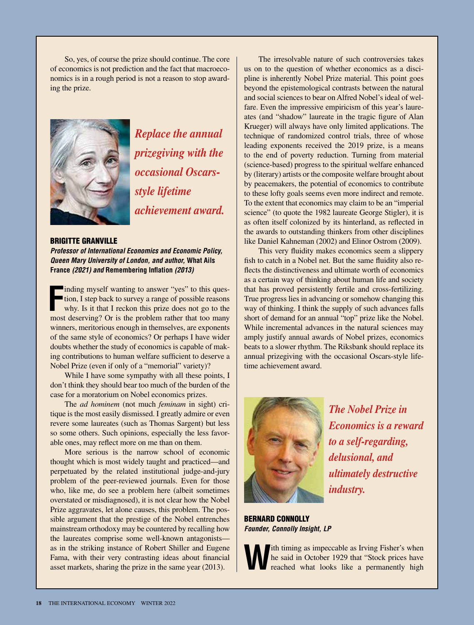So, yes, of course the prize should continue. The core of economics is not prediction and the fact that macroeconomics is in a rough period is not a reason to stop awarding the prize.



*Replace the annual prizegiving with the occasional Oscarsstyle lifetime achievement award.*

BRIGITTE GRANVILLE *Professor of International Economics and Economic Policy, Queen Mary University of London, and author,* **What Ails France** *(2021) and* **Remembering Inflation** *(2013)*

**F** inding myself wanting to answer "yes" to this question, I step back to survey a range of possible reasons why. Is it that I reckon this prize does not go to the most deserving? Or is the problem rather that too many winners, meritorious enough in themselves, are exponents of the same style of economics? Or perhaps I have wider doubts whether the study of economics is capable of making contributions to human welfare sufficient to deserve a Nobel Prize (even if only of a "memorial" variety)?

While I have some sympathy with all these points, I don't think they should bear too much of the burden of the case for a moratorium on Nobel economics prizes.

The *ad hominem* (not much *feminam* in sight) critique is the most easily dismissed. I greatly admire or even revere some laureates (such as Thomas Sargent) but less so some others. Such opinions, especially the less favorable ones, may reflect more on me than on them.

More serious is the narrow school of economic thought which is most widely taught and practiced—and perpetuated by the related institutional judge-and-jury problem of the peer-reviewed journals. Even for those who, like me, do see a problem here (albeit sometimes overstated or misdiagnosed), it is not clear how the Nobel Prize aggravates, let alone causes, this problem. The possible argument that the prestige of the Nobel entrenches mainstream orthodoxy may be countered by recalling how the laureates comprise some well-known antagonists as in the striking instance of Robert Shiller and Eugene Fama, with their very contrasting ideas about financial asset markets, sharing the prize in the same year (2013).

The irresolvable nature of such controversies takes us on to the question of whether economics as a discipline is inherently Nobel Prize material. This point goes beyond the epistemological contrasts between the natural and social sciences to bear on Alfred Nobel's ideal of welfare. Even the impressive empiricism of this year's laureates (and "shadow" laureate in the tragic figure of Alan Krueger) will always have only limited applications. The technique of randomized control trials, three of whose leading exponents received the 2019 prize, is a means to the end of poverty reduction. Turning from material (science-based) progress to the spiritual welfare enhanced by (literary) artists or the composite welfare brought about by peacemakers, the potential of economics to contribute to these lofty goals seems even more indirect and remote. To the extent that economics may claim to be an "imperial science" (to quote the 1982 laureate George Stigler), it is as often itself colonized by its hinterland, as reflected in the awards to outstanding thinkers from other disciplines like Daniel Kahneman (2002) and Elinor Ostrom (2009).

This very fluidity makes economics seem a slippery fish to catch in a Nobel net. But the same fluidity also reflects the distinctiveness and ultimate worth of economics as a certain way of thinking about human life and society that has proved persistently fertile and cross-fertilizing. True progress lies in advancing or somehow changing this way of thinking. I think the supply of such advances falls short of demand for an annual "top" prize like the Nobel. While incremental advances in the natural sciences may amply justify annual awards of Nobel prizes, economics beats to a slower rhythm. The Riksbank should replace its annual prizegiving with the occasional Oscars-style lifetime achievement award.



*The Nobel Prize in Economics is a reward to a self-regarding, delusional, and ultimately destructive industry.*

BERNARD CONNOLLY *Founder, Connolly Insight, LP*

**W**ith timing as impeccable as Irving Fisher's when<br>he said in October 1929 that "Stock prices have<br>reached what looks like a permanently high he said in October 1929 that "Stock prices have reached what looks like a permanently high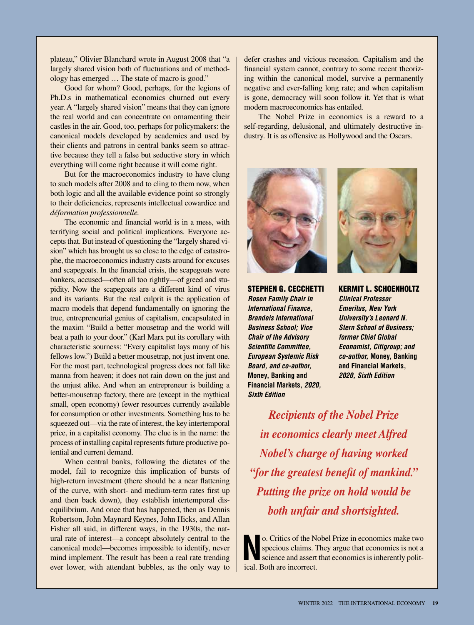plateau," Olivier Blanchard wrote in August 2008 that "a largely shared vision both of fluctuations and of methodology has emerged … The state of macro is good."

Good for whom? Good, perhaps, for the legions of Ph.D.s in mathematical economics churned out every year. A "largely shared vision" means that they can ignore the real world and can concentrate on ornamenting their castles in the air. Good, too, perhaps for policymakers: the canonical models developed by academics and used by their clients and patrons in central banks seem so attractive because they tell a false but seductive story in which everything will come right because it will come right.

But for the macroeconomics industry to have clung to such models after 2008 and to cling to them now, when both logic and all the available evidence point so strongly to their deficiencies, represents intellectual cowardice and *déformation professionnelle.*

The economic and financial world is in a mess, with terrifying social and political implications. Everyone accepts that. But instead of questioning the "largely shared vision" which has brought us so close to the edge of catastrophe, the macroeconomics industry casts around for excuses and scapegoats. In the financial crisis, the scapegoats were bankers, accused—often all too rightly—of greed and stupidity. Now the scapegoats are a different kind of virus and its variants. But the real culprit is the application of macro models that depend fundamentally on ignoring the true, entrepreneurial genius of capitalism, encapsulated in the maxim "Build a better mousetrap and the world will beat a path to your door." (Karl Marx put its corollary with characteristic sourness: "Every capitalist lays many of his fellows low.") Build a better mousetrap, not just invent one. For the most part, technological progress does not fall like manna from heaven; it does not rain down on the just and the unjust alike. And when an entrepreneur is building a better-mousetrap factory, there are (except in the mythical small, open economy) fewer resources currently available for consumption or other investments. Something has to be squeezed out—via the rate of interest, the key intertemporal price, in a capitalist economy. The clue is in the name: the process of installing capital represents future productive potential and current demand.

When central banks, following the dictates of the model, fail to recognize this implication of bursts of high-return investment (there should be a near flattening of the curve, with short- and medium-term rates first up and then back down), they establish intertemporal disequilibrium. And once that has happened, then as Dennis Robertson, John Maynard Keynes, John Hicks, and Allan Fisher all said, in different ways, in the 1930s, the natural rate of interest—a concept absolutely central to the canonical model—becomes impossible to identify, never mind implement. The result has been a real rate trending ever lower, with attendant bubbles, as the only way to

defer crashes and vicious recession. Capitalism and the financial system cannot, contrary to some recent theorizing within the canonical model, survive a permanently negative and ever-falling long rate; and when capitalism is gone, democracy will soon follow it. Yet that is what modern macroeconomics has entailed.

The Nobel Prize in economics is a reward to a self-regarding, delusional, and ultimately destructive industry. It is as offensive as Hollywood and the Oscars.



STEPHEN G. CECCHETTI *Rosen Family Chair in International Finance, Brandeis International Business School; Vice Chair of the Advisory Scientific Committee, European Systemic Risk Board, and co-author,*  **Money, Banking and Financial Markets,** *2020, Sixth Edition*



KERMIT L. SCHOENHOLTZ *Clinical Professor Emeritus, New York University's Leonard N. Stern School of Business; former Chief Global Economist, Citigroup; and co-author,* **Money, Banking and Financial Markets,** *2020, Sixth Edition*

*Recipients of the Nobel Prize in economics clearly meet Alfred Nobel's charge of having worked "for the greatest benefit of mankind." Putting the prize on hold would be both unfair and shortsighted.*

**No.** Critics of the Nobel Prize in economics make two specious claims. They argue that economics is not a science and assert that economics is inherently political. specious claims. They argue that economics is not a science and assert that economics is inherently political. Both are incorrect.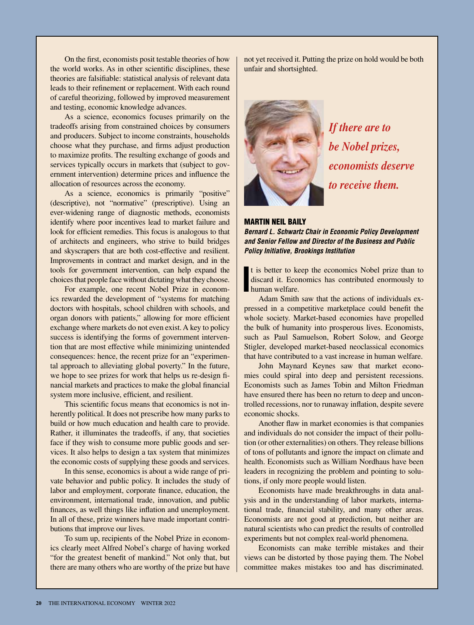On the first, economists posit testable theories of how the world works. As in other scientific disciplines, these theories are falsifiable: statistical analysis of relevant data leads to their refinement or replacement. With each round of careful theorizing, followed by improved measurement and testing, economic knowledge advances.

As a science, economics focuses primarily on the tradeoffs arising from constrained choices by consumers and producers. Subject to income constraints, households choose what they purchase, and firms adjust production to maximize profits. The resulting exchange of goods and services typically occurs in markets that (subject to government intervention) determine prices and influence the allocation of resources across the economy.

As a science, economics is primarily "positive" (descriptive), not "normative" (prescriptive). Using an ever-widening range of diagnostic methods, economists identify where poor incentives lead to market failure and look for efficient remedies. This focus is analogous to that of architects and engineers, who strive to build bridges and skyscrapers that are both cost-effective and resilient. Improvements in contract and market design, and in the tools for government intervention, can help expand the choices that people face without dictating what they choose.

For example, one recent Nobel Prize in economics rewarded the development of "systems for matching doctors with hospitals, school children with schools, and organ donors with patients," allowing for more efficient exchange where markets do not even exist. A key to policy success is identifying the forms of government intervention that are most effective while minimizing unintended consequences: hence, the recent prize for an "experimental approach to alleviating global poverty." In the future, we hope to see prizes for work that helps us re-design financial markets and practices to make the global financial system more inclusive, efficient, and resilient.

This scientific focus means that economics is not inherently political. It does not prescribe how many parks to build or how much education and health care to provide. Rather, it illuminates the tradeoffs, if any, that societies face if they wish to consume more public goods and services. It also helps to design a tax system that minimizes the economic costs of supplying these goods and services.

In this sense, economics is about a wide range of private behavior and public policy. It includes the study of labor and employment, corporate finance, education, the environment, international trade, innovation, and public finances, as well things like inflation and unemployment. In all of these, prize winners have made important contributions that improve our lives.

To sum up, recipients of the Nobel Prize in economics clearly meet Alfred Nobel's charge of having worked "for the greatest benefit of mankind." Not only that, but there are many others who are worthy of the prize but have not yet received it. Putting the prize on hold would be both unfair and shortsighted.



*If there are to be Nobel prizes, economists deserve to receive them.*

### MARTIN NEIL BAILY *Bernard L. Schwartz Chair in Economic Policy Development and Senior Fellow and Director of the Business and Public Policy Initiative, Brookings Institution*

**I** human welfare. t is better to keep the economics Nobel prize than to discard it. Economics has contributed enormously to

Adam Smith saw that the actions of individuals expressed in a competitive marketplace could benefit the whole society. Market-based economies have propelled the bulk of humanity into prosperous lives. Economists, such as Paul Samuelson, Robert Solow, and George Stigler, developed market-based neoclassical economics that have contributed to a vast increase in human welfare.

John Maynard Keynes saw that market economies could spiral into deep and persistent recessions. Economists such as James Tobin and Milton Friedman have ensured there has been no return to deep and uncontrolled recessions, nor to runaway inflation, despite severe economic shocks.

Another flaw in market economies is that companies and individuals do not consider the impact of their pollution (or other externalities) on others. They release billions of tons of pollutants and ignore the impact on climate and health. Economists such as William Nordhaus have been leaders in recognizing the problem and pointing to solutions, if only more people would listen.

Economists have made breakthroughs in data analysis and in the understanding of labor markets, international trade, financial stability, and many other areas. Economists are not good at prediction, but neither are natural scientists who can predict the results of controlled experiments but not complex real-world phenomena.

Economists can make terrible mistakes and their views can be distorted by those paying them. The Nobel committee makes mistakes too and has discriminated.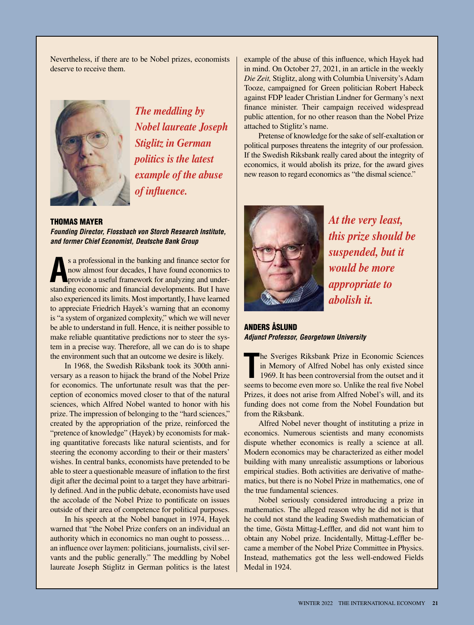Nevertheless, if there are to be Nobel prizes, economists deserve to receive them.



*The meddling by Nobel laureate Joseph Stiglitz in German politics is the latest example of the abuse of influence.*

THOMAS MAYER *Founding Director, Flossbach von Storch Research Institute, and former Chief Economist, Deutsche Bank Group*

s a professional in the banking and finance sector for now almost four decades, I have found economics to provide a useful framework for analyzing and understanding economic and financial developments. But I have s a professional in the banking and finance sector for now almost four decades, I have found economics to provide a useful framework for analyzing and underalso experienced its limits. Most importantly, I have learned to appreciate Friedrich Hayek's warning that an economy is "a system of organized complexity," which we will never be able to understand in full. Hence, it is neither possible to make reliable quantitative predictions nor to steer the system in a precise way. Therefore, all we can do is to shape the environment such that an outcome we desire is likely.

In 1968, the Swedish Riksbank took its 300th anniversary as a reason to hijack the brand of the Nobel Prize for economics. The unfortunate result was that the perception of economics moved closer to that of the natural sciences, which Alfred Nobel wanted to honor with his prize. The impression of belonging to the "hard sciences," created by the appropriation of the prize, reinforced the "pretence of knowledge" (Hayek) by economists for making quantitative forecasts like natural scientists, and for steering the economy according to their or their masters' wishes. In central banks, economists have pretended to be able to steer a questionable measure of inflation to the first digit after the decimal point to a target they have arbitrarily defined. And in the public debate, economists have used the accolade of the Nobel Prize to pontificate on issues outside of their area of competence for political purposes.

In his speech at the Nobel banquet in 1974, Hayek warned that "the Nobel Prize confers on an individual an authority which in economics no man ought to possess… an influence over laymen: politicians, journalists, civil servants and the public generally." The meddling by Nobel laureate Joseph Stiglitz in German politics is the latest

example of the abuse of this influence, which Hayek had in mind. On October 27, 2021, in an article in the weekly *Die Zeit,* Stiglitz, along with Columbia University's Adam Tooze, campaigned for Green politician Robert Habeck against FDP leader Christian Lindner for Germany's next finance minister. Their campaign received widespread public attention, for no other reason than the Nobel Prize attached to Stiglitz's name.

Pretense of knowledge for the sake of self-exaltation or political purposes threatens the integrity of our profession. If the Swedish Riksbank really cared about the integrity of economics, it would abolish its prize, for the award gives new reason to regard economics as "the dismal science."



*At the very least, this prize should be suspended, but it would be more appropriate to abolish it.*

ANDERS ÅSLUND *Adjunct Professor, Georgetown University*

**The Sveriges Riksbank Prize in Economic Sciences**<br>
in Memory of Alfred Nobel has only existed since<br>
1969. It has been controversial from the outset and it<br>
seems to become even more so. Unlike the real five Nobel he Sveriges Riksbank Prize in Economic Sciences in Memory of Alfred Nobel has only existed since 1969. It has been controversial from the outset and it Prizes, it does not arise from Alfred Nobel's will, and its funding does not come from the Nobel Foundation but from the Riksbank.

Alfred Nobel never thought of instituting a prize in economics. Numerous scientists and many economists dispute whether economics is really a science at all. Modern economics may be characterized as either model building with many unrealistic assumptions or laborious empirical studies. Both activities are derivative of mathematics, but there is no Nobel Prize in mathematics, one of the true fundamental sciences.

Nobel seriously considered introducing a prize in mathematics. The alleged reason why he did not is that he could not stand the leading Swedish mathematician of the time, Gösta Mittag-Leffler, and did not want him to obtain any Nobel prize. Incidentally, Mittag-Leffler became a member of the Nobel Prize Committee in Physics. Instead, mathematics got the less well-endowed Fields Medal in 1924.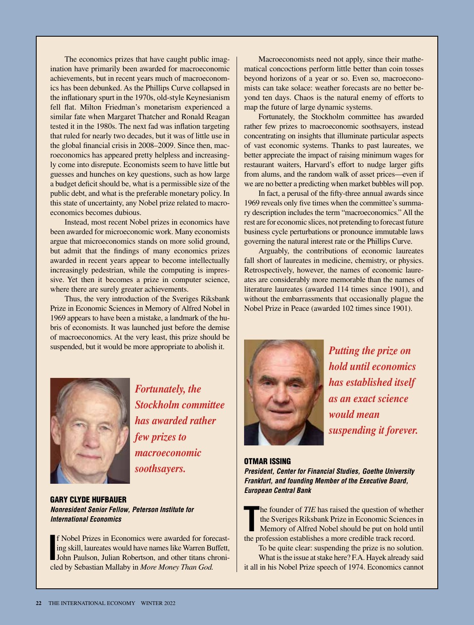The economics prizes that have caught public imagination have primarily been awarded for macroeconomic achievements, but in recent years much of macroeconomics has been debunked. As the Phillips Curve collapsed in the inflationary spurt in the 1970s, old-style Keynesianism fell flat. Milton Friedman's monetarism experienced a similar fate when Margaret Thatcher and Ronald Reagan tested it in the 1980s. The next fad was inflation targeting that ruled for nearly two decades, but it was of little use in the global financial crisis in 2008–2009. Since then, macroeconomics has appeared pretty helpless and increasingly come into disrepute. Economists seem to have little but guesses and hunches on key questions, such as how large a budget deficit should be, what is a permissible size of the public debt, and what is the preferable monetary policy. In this state of uncertainty, any Nobel prize related to macroeconomics becomes dubious.

Instead, most recent Nobel prizes in economics have been awarded for microeconomic work. Many economists argue that microeconomics stands on more solid ground, but admit that the findings of many economics prizes awarded in recent years appear to become intellectually increasingly pedestrian, while the computing is impressive. Yet then it becomes a prize in computer science, where there are surely greater achievements.

Thus, the very introduction of the Sveriges Riksbank Prize in Economic Sciences in Memory of Alfred Nobel in 1969 appears to have been a mistake, a landmark of the hubris of economists. It was launched just before the demise of macroeconomics. At the very least, this prize should be suspended, but it would be more appropriate to abolish it.

Macroeconomists need not apply, since their mathematical concoctions perform little better than coin tosses beyond horizons of a year or so. Even so, macroeconomists can take solace: weather forecasts are no better beyond ten days. Chaos is the natural enemy of efforts to map the future of large dynamic systems.

Fortunately, the Stockholm committee has awarded rather few prizes to macroeconomic soothsayers, instead concentrating on insights that illuminate particular aspects of vast economic systems. Thanks to past laureates, we better appreciate the impact of raising minimum wages for restaurant waiters, Harvard's effort to nudge larger gifts from alums, and the random walk of asset prices—even if we are no better a predicting when market bubbles will pop.

In fact, a perusal of the fifty-three annual awards since 1969 reveals only five times when the committee's summary description includes the term "macroeconomics." All the rest are for economic slices, not pretending to forecast future business cycle perturbations or pronounce immutable laws governing the natural interest rate or the Phillips Curve.

Arguably, the contributions of economic laureates fall short of laureates in medicine, chemistry, or physics. Retrospectively, however, the names of economic laureates are considerably more memorable than the names of literature laureates (awarded 114 times since 1901), and without the embarrassments that occasionally plague the Nobel Prize in Peace (awarded 102 times since 1901).



*Fortunately, the Stockholm committee has awarded rather few prizes to macroeconomic soothsayers.*

GARY CLYDE HUFBAUER *Nonresident Senior Fellow, Peterson Institute for International Economics*

**I** Nobel Prizes in Economics were awarded for forecast-<br>ing skill, laureates would have names like Warren Buffett,<br>John Paulson, Julian Robertson, and other titans chroni-<br>led by Sebestian Malleby in Mana Manay Than God f Nobel Prizes in Economics were awarded for forecasting skill, laureates would have names like Warren Buffett, cled by Sebastian Mallaby in *More Money Than God.*



*Putting the prize on hold until economics has established itself as an exact science would mean suspending it forever.* 

OTMAR ISSING *President, Center for Financial Studies, Goethe University Frankfurt, and founding Member of the Executive Board, European Central Bank*

The founder of *TIE* has raised the question of whether Sveriges Riksbank Prize in Economic Sciences Memory of Alfred Nobel should be put on hold un the profession establishes a more credible track record. he founder of *TIE* has raised the question of whether the Sveriges Riksbank Prize in Economic Sciences in Memory of Alfred Nobel should be put on hold until

To be quite clear: suspending the prize is no solution. What is the issue at stake here? F.A. Hayek already said it all in his Nobel Prize speech of 1974. Economics cannot